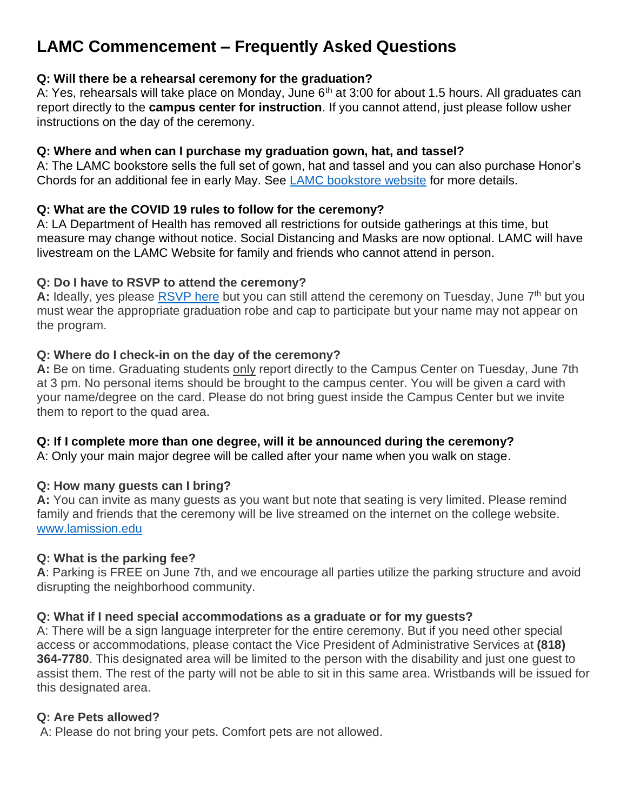# **LAMC Commencement – Frequently Asked Questions**

# **Q: Will there be a rehearsal ceremony for the graduation?**

A: Yes, rehearsals will take place on Monday, June  $6<sup>th</sup>$  at 3:00 for about 1.5 hours. All graduates can report directly to the **campus center for instruction**. If you cannot attend, just please follow usher instructions on the day of the ceremony.

#### **Q: Where and when can I purchase my graduation gown, hat, and tassel?**

A: The LAMC bookstore sells the full set of gown, hat and tassel and you can also purchase Honor's Chords for an additional fee in early May. See [LAMC bookstore website](https://eagleslanding.lamission.edu/) for more details.

# **Q: What are the COVID 19 rules to follow for the ceremony?**

A: LA Department of Health has removed all restrictions for outside gatherings at this time, but measure may change without notice. Social Distancing and Masks are now optional. LAMC will have livestream on the LAMC Website for family and friends who cannot attend in person.

#### **Q: Do I have to RSVP to attend the ceremony?**

A: Ideally, yes please **RSVP here** but you can still attend the ceremony on Tuesday, June 7<sup>th</sup> but you must wear the appropriate graduation robe and cap to participate but your name may not appear on the program.

#### **Q: Where do I check-in on the day of the ceremony?**

**A:** Be on time. Graduating students only report directly to the Campus Center on Tuesday, June 7th at 3 pm. No personal items should be brought to the campus center. You will be given a card with your name/degree on the card. Please do not bring guest inside the Campus Center but we invite them to report to the quad area.

# **Q: If I complete more than one degree, will it be announced during the ceremony?**

A: Only your main major degree will be called after your name when you walk on stage.

# **Q: How many guests can I bring?**

**A:** You can invite as many guests as you want but note that seating is very limited. Please remind family and friends that the ceremony will be live streamed on the internet on the college website. [www.lamission.edu](http://www.lamission.edu/)

#### **Q: What is the parking fee?**

**A**: Parking is FREE on June 7th, and we encourage all parties utilize the parking structure and avoid disrupting the neighborhood community.

# **Q: What if I need special accommodations as a graduate or for my guests?**

A: There will be a sign language interpreter for the entire ceremony. But if you need other special access or accommodations, please contact the Vice President of Administrative Services at **(818) 364-7780**. This designated area will be limited to the person with the disability and just one guest to assist them. The rest of the party will not be able to sit in this same area. Wristbands will be issued for this designated area.

#### **Q: Are Pets allowed?**

A: Please do not bring your pets. Comfort pets are not allowed.